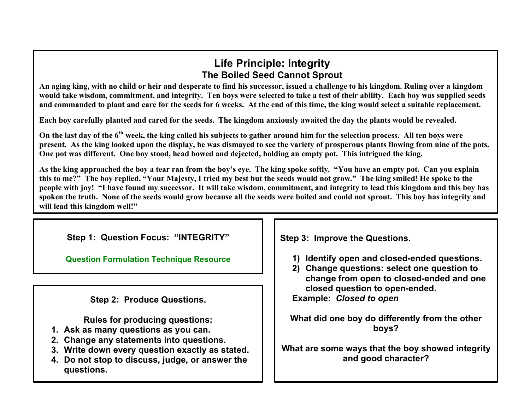## **Life Principle: Integrity The Boiled Seed Cannot Sprout**

**An aging king, with no child or heir and desperate to find his successor, issued a challenge to his kingdom. Ruling over a kingdom would take wisdom, commitment, and integrity. Ten boys were selected to take a test of their ability. Each boy was supplied seeds and commanded to plant and care for the seeds for 6 weeks. At the end of this time, the king would select a suitable replacement.** 

**Each boy carefully planted and cared for the seeds. The kingdom anxiously awaited the day the plants would be revealed.**

**On the last day of the 6th week, the king called his subjects to gather around him for the selection process. All ten boys were present. As the king looked upon the display, he was dismayed to see the variety of prosperous plants flowing from nine of the pots. One pot was different. One boy stood, head bowed and dejected, holding an empty pot. This intrigued the king.** 

**As the king approached the boy a tear ran from the boy's eye. The king spoke softly. "You have an empty pot. Can you explain this to me?" The boy replied, "Your Majesty, I tried my best but the seeds would not grow." The king smiled! He spoke to the people with joy! "I have found my successor. It will take wisdom, commitment, and integrity to lead this kingdom and this boy has spoken the truth. None of the seeds would grow because all the seeds were boiled and could not sprout. This boy has integrity and will lead this kingdom well!"**

**Step 1: Question Focus: "INTEGRITY"**

**[Question Formulation](http://www.greatexpectations.org/question-technique-formulation-resource) Technique Resource** 

**Step 2: Produce Questions.**

**Rules for producing questions:**

- **1. Ask as many questions as you can.**
- **2. Change any statements into questions.**
- **3. Write down every question exactly as stated.**
- **4. Do not stop to discuss, judge, or answer the questions.**

**Step 3: Improve the Questions.**

**1) Identify open and closed-ended questions.**

**2) Change questions: select one question to change from open to closed-ended and one closed question to open-ended. Example:** *Closed to open*

**What did one boy do differently from the other boys?**

**What are some ways that the boy showed integrity and good character?**